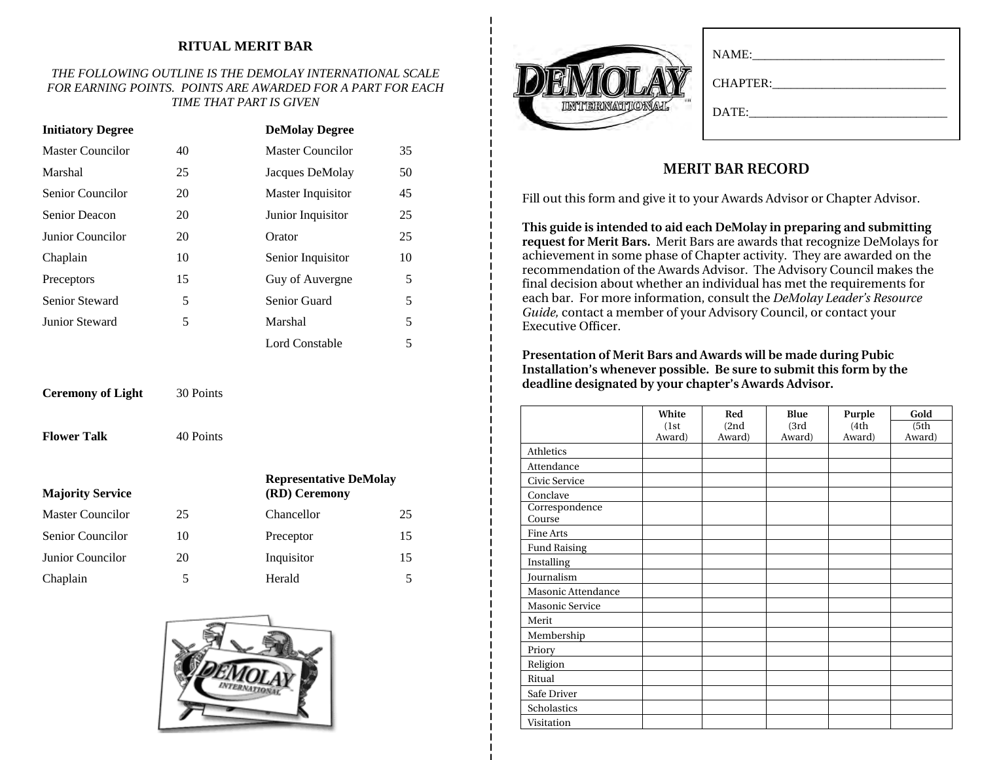### **RITUAL MERIT BAR**

#### *THE FOLLOWING OUTLINE IS THE DEMOLAY INTERNATIONAL SCALE FOR EARNING POINTS. POINTS ARE AWARDED FOR A PART FOR EACH TIME THAT PART IS GIVEN*

| <b>Initiatory Degree</b> |    | <b>DeMolay Degree</b> |    |
|--------------------------|----|-----------------------|----|
| Master Councilor         | 40 | Master Councilor      | 35 |
| Marshal                  | 25 | Jacques DeMolay       | 50 |
| Senior Councilor         | 20 | Master Inquisitor     | 45 |
| Senior Deacon            | 20 | Junior Inquisitor     | 25 |
| Junior Councilor         | 20 | Orator                | 25 |
| Chaplain                 | 10 | Senior Inquisitor     | 10 |
| Preceptors               | 15 | Guy of Auvergne       | 5  |
| Senior Steward           | 5  | Senior Guard          | 5  |
| Junior Steward           | 5  | Marshal               | 5  |
|                          |    | Lord Constable        | 5  |

**Ceremony of Light** 30 Points

**Flower Talk**

40 Points

| <b>Majority Service</b> |    | <b>Representative DeMolay</b><br>(RD) Ceremony |    |  |
|-------------------------|----|------------------------------------------------|----|--|
| <b>Master Councilor</b> | 25 | Chancellor                                     | 25 |  |
| Senior Councilor        | 10 | Preceptor                                      | 15 |  |
| Junior Councilor        | 20 | Inquisitor                                     | 15 |  |
| Chaplain                | 5  | Herald                                         |    |  |



| NAME:<br>CHAPTER:<br>DATE: |
|----------------------------|
|                            |

## **MERIT BAR RECORD**

Fill out this form and give it to your Awards Advisor or Chapter Advisor.

**This guide is intended to aid each DeMolay in preparing and submitting request for Merit Bars.** Merit Bars are awards that recognize DeMolays for achievement in some phase of Chapter activity. They are awarded on the recommendation of the Awards Advisor. The Advisory Council makes the final decision about whether an individual has met the requirements for each bar. For more information, consult the *DeMolay Leader's Resource Guide,* contact a member of your Advisory Council, or contact your Executive Officer.

**Presentation of Merit Bars and Awards will be made during Pubic Installation's whenever possible. Be sure to submit this form by the deadline designated by your chapter's Awards Advisor.** 

|                          | White  | Red    | Blue   | Purple | Gold   |
|--------------------------|--------|--------|--------|--------|--------|
|                          | (1st)  | (2nd)  | (3rd)  | (4th)  | (5th)  |
|                          | Award) | Award) | Award) | Award) | Award) |
| Athletics                |        |        |        |        |        |
| Attendance               |        |        |        |        |        |
| Civic Service            |        |        |        |        |        |
| Conclave                 |        |        |        |        |        |
| Correspondence<br>Course |        |        |        |        |        |
| Fine Arts                |        |        |        |        |        |
| <b>Fund Raising</b>      |        |        |        |        |        |
| Installing               |        |        |        |        |        |
| Journalism               |        |        |        |        |        |
| Masonic Attendance       |        |        |        |        |        |
| Masonic Service          |        |        |        |        |        |
| Merit                    |        |        |        |        |        |
| Membership               |        |        |        |        |        |
| Priory                   |        |        |        |        |        |
| Religion                 |        |        |        |        |        |
| Ritual                   |        |        |        |        |        |
| Safe Driver              |        |        |        |        |        |
| Scholastics              |        |        |        |        |        |
| Visitation               |        |        |        |        |        |